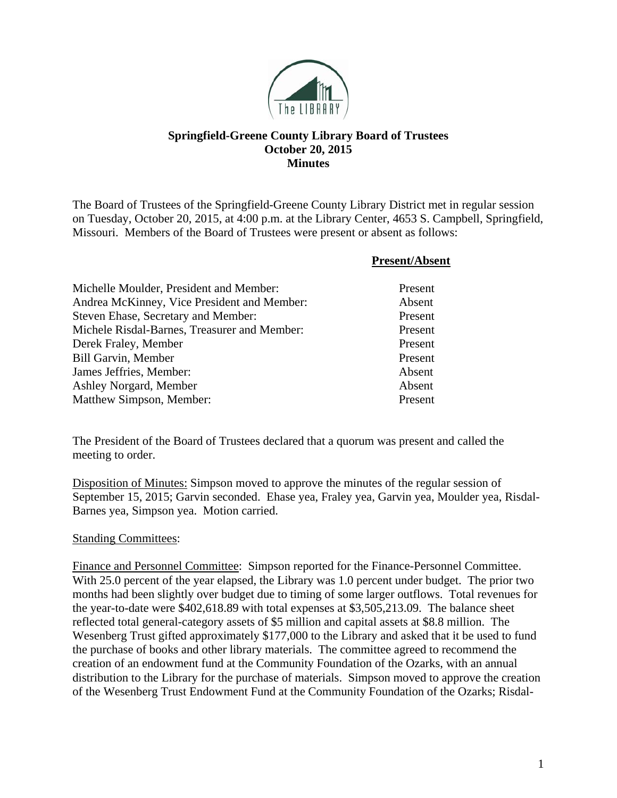

## **Springfield-Greene County Library Board of Trustees October 20, 2015 Minutes**

The Board of Trustees of the Springfield-Greene County Library District met in regular session on Tuesday, October 20, 2015, at 4:00 p.m. at the Library Center, 4653 S. Campbell, Springfield, Missouri. Members of the Board of Trustees were present or absent as follows:

|                                              | <b>Present/Absent</b> |
|----------------------------------------------|-----------------------|
| Michelle Moulder, President and Member:      | Present               |
| Andrea McKinney, Vice President and Member:  | Absent                |
| Steven Ehase, Secretary and Member:          | Present               |
| Michele Risdal-Barnes, Treasurer and Member: | Present               |
| Derek Fraley, Member                         | Present               |
| <b>Bill Garvin, Member</b>                   | Present               |
| James Jeffries, Member:                      | Absent                |
| Ashley Norgard, Member                       | Absent                |
| Matthew Simpson, Member:                     | Present               |

The President of the Board of Trustees declared that a quorum was present and called the meeting to order.

Disposition of Minutes: Simpson moved to approve the minutes of the regular session of September 15, 2015; Garvin seconded. Ehase yea, Fraley yea, Garvin yea, Moulder yea, Risdal-Barnes yea, Simpson yea. Motion carried.

## Standing Committees:

Finance and Personnel Committee: Simpson reported for the Finance-Personnel Committee. With 25.0 percent of the year elapsed, the Library was 1.0 percent under budget. The prior two months had been slightly over budget due to timing of some larger outflows. Total revenues for the year-to-date were \$402,618.89 with total expenses at \$3,505,213.09. The balance sheet reflected total general-category assets of \$5 million and capital assets at \$8.8 million. The Wesenberg Trust gifted approximately \$177,000 to the Library and asked that it be used to fund the purchase of books and other library materials. The committee agreed to recommend the creation of an endowment fund at the Community Foundation of the Ozarks, with an annual distribution to the Library for the purchase of materials. Simpson moved to approve the creation of the Wesenberg Trust Endowment Fund at the Community Foundation of the Ozarks; Risdal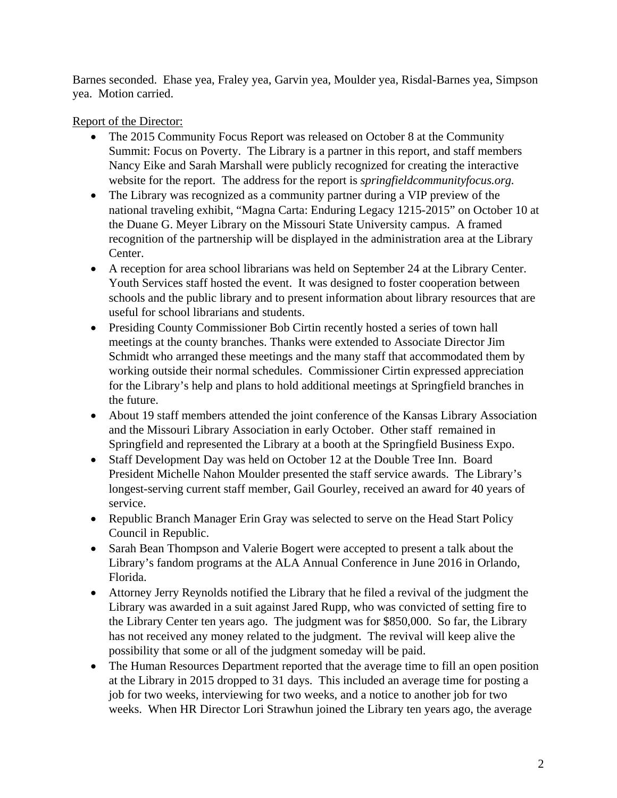Barnes seconded. Ehase yea, Fraley yea, Garvin yea, Moulder yea, Risdal-Barnes yea, Simpson yea. Motion carried.

Report of the Director:

- The 2015 Community Focus Report was released on October 8 at the Community Summit: Focus on Poverty. The Library is a partner in this report, and staff members Nancy Eike and Sarah Marshall were publicly recognized for creating the interactive website for the report. The address for the report is *springfieldcommunityfocus.org.*
- The Library was recognized as a community partner during a VIP preview of the national traveling exhibit, "Magna Carta: Enduring Legacy 1215-2015" on October 10 at the Duane G. Meyer Library on the Missouri State University campus. A framed recognition of the partnership will be displayed in the administration area at the Library Center.
- A reception for area school librarians was held on September 24 at the Library Center. Youth Services staff hosted the event. It was designed to foster cooperation between schools and the public library and to present information about library resources that are useful for school librarians and students.
- Presiding County Commissioner Bob Cirtin recently hosted a series of town hall meetings at the county branches. Thanks were extended to Associate Director Jim Schmidt who arranged these meetings and the many staff that accommodated them by working outside their normal schedules. Commissioner Cirtin expressed appreciation for the Library's help and plans to hold additional meetings at Springfield branches in the future.
- About 19 staff members attended the joint conference of the Kansas Library Association and the Missouri Library Association in early October. Other staff remained in Springfield and represented the Library at a booth at the Springfield Business Expo.
- Staff Development Day was held on October 12 at the Double Tree Inn. Board President Michelle Nahon Moulder presented the staff service awards. The Library's longest-serving current staff member, Gail Gourley, received an award for 40 years of service.
- Republic Branch Manager Erin Gray was selected to serve on the Head Start Policy Council in Republic.
- Sarah Bean Thompson and Valerie Bogert were accepted to present a talk about the Library's fandom programs at the ALA Annual Conference in June 2016 in Orlando, Florida.
- Attorney Jerry Reynolds notified the Library that he filed a revival of the judgment the Library was awarded in a suit against Jared Rupp, who was convicted of setting fire to the Library Center ten years ago. The judgment was for \$850,000. So far, the Library has not received any money related to the judgment. The revival will keep alive the possibility that some or all of the judgment someday will be paid.
- The Human Resources Department reported that the average time to fill an open position at the Library in 2015 dropped to 31 days. This included an average time for posting a job for two weeks, interviewing for two weeks, and a notice to another job for two weeks. When HR Director Lori Strawhun joined the Library ten years ago, the average